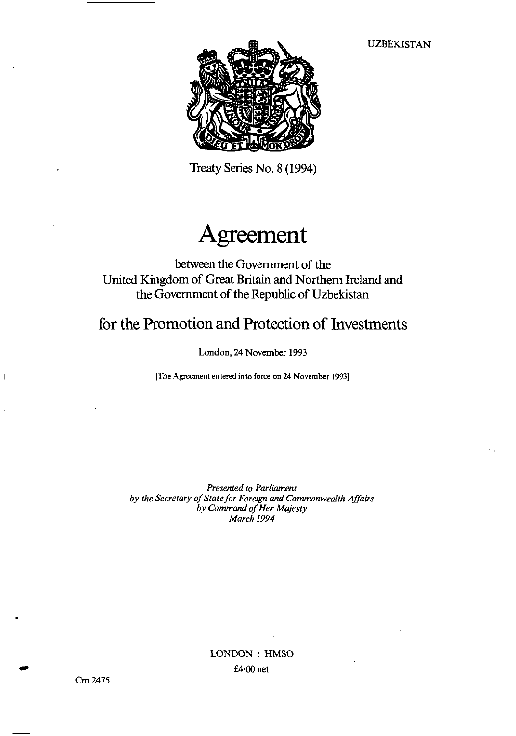UZBEKISTAN



Treaty Series No.8 (1994)

# **Agreement**

between the Government of the United Kingdom of Great Britain and Northern Ireland and the Government of the Republic of Uzbekistan

# for the Promotion and Protection of Investments

London, 24 November 1993

[The Agreement entered into force on 24 November 1993]

*Presented to Parliament by the Secretary of State for Foreign and Commonwealth Affairs by Command of Her Majesty March1994* 

> LONDON : HMSO £4·00 net

-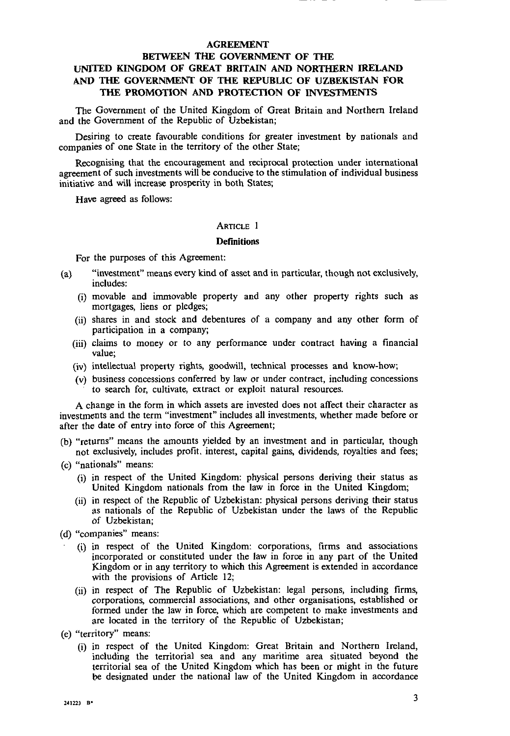# **AGREEMENT BETWEEN THE GOVERNMENT OF THE UNITED KINGDOM OF GREAT BRITAIN AND NORTHERN IRELAND AND THE GOVERNMENT OF THE REPUBLIC OF UZBEKISTAN FOR THE PROMOTION AND PROTECTION OF INVESTMENIS**

The Government of the United Kingdom of Great Britain and Northern Ireland and the Government of the Republic of Uzbekistan;

Desiring to create favourable conditions for greater investment by nationals and companies of one State in the territory of the other State;

Recognising that the encouragement and reciprocal protection under international agreement of such investments will be conducive to the stimulation of individual business initiative and will increase prosperity in both States;

Have agreed as follows:

# ARTICLE I

### **Definitions**

For the purposes of this Agreement:

- (a) "investment" means every kind of asset and in particular, though not exclusively, includes:
	- (i) movable and immovable property and any other property rights such as mortgages, liens or pledges;
	- (ii) shares in and stock and debentures of a company and any other form of participation in a company;
	- (iii) claims to money or to any performance under contract having a financial **value;**
	- (iv) intellectual property rights, goodwill, technical processes and know-how;
	- (v) business concessions conferred by law or under contract, including concessions to search for, cultivate, extract or exploit natural resources.

A change in the form in which assets are invested does not affect their character as investments and the term "investment" includes all investments, whether made before or after the date of entry into force of this Agreement;

- (b) "returns" means the amounts yielded by an investment and in particular, though not exclusively, includes profit. interest, capital gains, dividends, royalties and fees;
- (c) "nationals" means:
	- (i) in respect of the United Kingdom: physical persons deriving their status as United Kingdom nationals from the law in force in the United Kingdom;
	- (ii) in respect of the Republic of Uzbekistan: physical persons deriving their status as nationals of the Republic of Uzbekistan under the laws of the Republic of Uzbekistan;
- (d) "companies" means:
	- $(i)$  in respect of the United Kingdom: corporations, firms and associations incorporated or constituted under the law in force in any part of the United Kingdom or in any territory to which this Agreement is extended in accordance with the provisions of Article 12;
	- (ii) in respect of The Republic of Uzbekistan: legal persons, including firms, corporations, commercial associations, and other organisations, established or formed under the law in force, which are competent to make investments and are located in the territory of the Republic of Uzbekistan;
- (e) "territory" means:
	- (i) in respect of the United Kingdom: Great Britain and Northern Ireland, including the territorial sea and any maritime area situated beyond the territorial sea of the United Kingdom which has been or might in the future be designated under the national law of the United Kingdom in accordance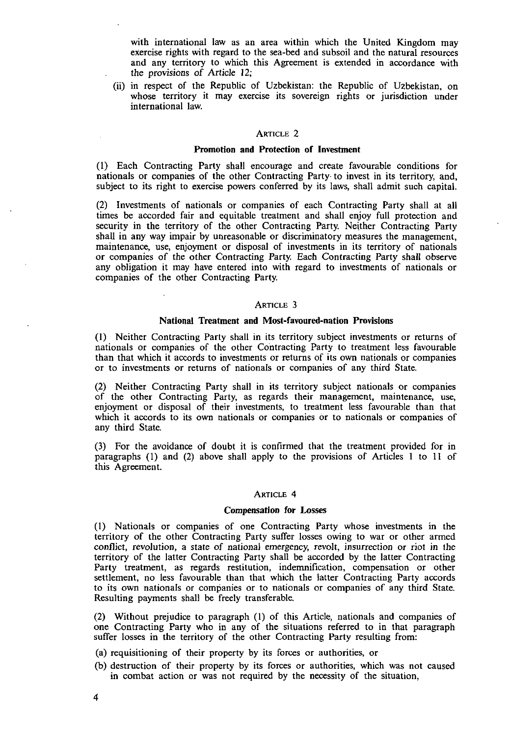with international law as an area within which the United Kingdom may exercise rights with regard to the sea-bed and subsoil and the natural resources and any territory to which this Agreement is extended in accordance with the provisions of Article 12;

(ii) in respect of the Republic of Uzbekistan: the Republic of Uzbekistan, on whose territory it may exercise its sovereign rights or jurisdiction under international law.

#### ARTICLE 2

#### **Promotion and Protection of Investment**

(I) Each Contracting Party shall encourage and create favourable conditions for nationals or companies of the other Contracting Party· to invest in its territory, and, subject to its right to exercise powers conferred by its laws, shall admit such capital.

(2) Investments of nationals or companies of each Contracting Party shall at all times be accorded fair and equitable treatment and shall enjoy full protection and security in the territory of the other Contracting Party. Neither Contracting Party shall in any way impair by unreasonable or discriminatory measures the management, maintenance, use, enjoyment or disposal of investments in its territory of nationals or companies of the other Contracting Party. Each Contracting Party shall observe any obligation it may have entered into with regard to investments of nationals or companies of the other Contracting Party.

#### ARTICLE 3

#### **National Treatment and Most-favoured-nation Provisions**

(I) Neither Contracting Party shall in its territory subject investments or returns of nationals or companies of the other Contracting Party to treatment less favourable than that which it accords to investments or returns of its own nationals or companies or to investments or returns of nationals or companies of any third State.

(2) Neither Contracting Party shall in its territory subject nationals or companies of the other Contracting Party, as regards their management, maintenance, use, enjoyment or disposal of their investments, to treatment less favourable than that which it accords to its own nationals or companies or to nationals or companies of any third State.

(3) For the avoidance of doubt it is confirmed that the treatment provided for in paragraphs (I) and (2) above shall apply to the provisions of Articles I to II of this Agreement.

#### ARTICLE 4

#### **Compensation for** Losses

(I) Nationals or companies of one Contracting Party whose investments in the territory of the other Contracting Party suffer losses owing to war or other armed conflict, revolution, a state of national emergency, revolt, insurrection or riot in the territory of the latter Contracting Party shall be accorded by the latter Contracting Party treatment, as regards restitution, indemnification, compensation or other settlement, no less favourable than that which the latter Contracting Party accords to its own nationals or companies or to nationals or companies of any third State. Resulting payments shall be freely transferable.

(2) Without prejudice to paragraph (I) of this Article, nationals and companies of one Contracting Party who in any of the situations referred to in that paragraph suffer losses in the territory of the other Contracting Party resulting from:

- (a) requisitioning of their property by its forces or authorities, or
- (b) destruction of their property by its forces or authorities, which was not caused in combat action or was not required by the necessity of the situation,
- 4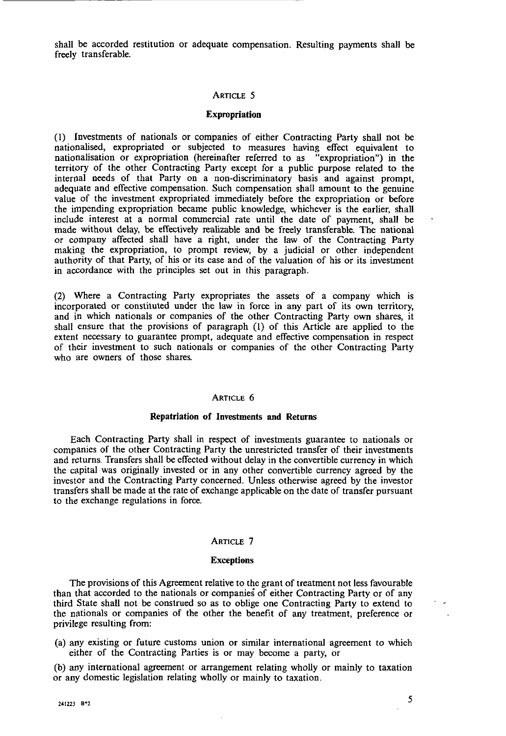shall be accorded restitution or adequate compensation. Resulting payments shall be freely transferable.

# ARTICLE 5

#### **Expropriation**

(I) Investments of nationals or companies of either Contracting Party shall not be nationalised, expropriated or subjected to measures having effect equivalent to nationalisation or expropriation (hereinafter referred to as "expropriation") in the territory of the other Contracting Party except for a public purpose related to the internal needs of that Party on a non-discriminatory basis and against prompt, adequate and effective compensation. Such compensation shall amount to the genuine value of the investment expropriated immediately before the expropriation or before the impending expropriation became public knowledge, whichever is the earlier, shall include interest at a normal commercial rate until the date of payment, shall be made without delay, be effectively realizable and be freely transferable. The national or company affected shall have a right, under the law of the Contracting Party making the expropriation, to prompt review, by a judicial or other independent authority of that Party, of his or its case and of the valuation of his or its investment in accordance with the principles set out in this paragraph.

(2) Where a Contracting Party expropriates the assets of a company which is incorporated or constituted under the law in force in any part of its own territory, and in which nationals or companies of the other Contracting Party own shares, it shall ensure that the provisions of paragraph (!) of this Article are applied to the extent necessary to guarantee prompt, adequate and effective compensation in respect of their investment to such nationals or companies of the other Contracting Party who are owners of those shares.

#### ARTICLE 6

# **Repatriation of Investments and Returns**

Each Contracting Party shall in respect of investments guarantee to nationals or companies of the other Contracting Party the unrestricted transfer of their investments and returns. Transfers shall be effected without delay in the convertible currency in which the capital was originally invested or in any other convertible currency agreed by the investor and the Contracting Party concerned. Unless otherwise agreed by the investor transfers shall be made at the rate of exchange applicable on the date of transfer pursuant to the exchange regulations in force.

#### ARTICLE 7

# **Exceptions**

The provisions of this Agreement relative to the grant of treatment not less favourable than that accorded to the nationals or companies of either Contracting Party or of any third State shall not be construed so as to oblige one Contracting Party to extend to the nationals or companies of the other the benefit of any treatment, preference or privilege resulting from:

(a) any existing or future customs union or similar international agreement to which either of the Contracting Parties is or may become a party, or

(b) any international agreement or arrangement relating wholly or mainly to taxation or any domestic legislation relating wholly or mainly to taxation.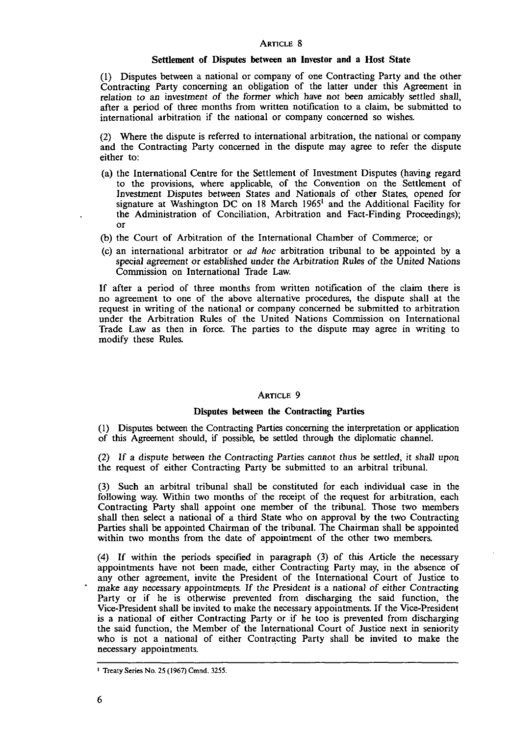# ARTICLE 8

#### **Settlement of Disputes between an Investor and a Host State**

(I) Disputes between a national or company of one Contracting Party and the other Contracting Party concerning an obligation of the latter under this Agreement in relation to an investment of the former which have not been amicably settled shall, after a period of three months from written notification to a claim, be submitted to international arbitration if the national or company concerned so wishes.

(2) Where the dispute is referred to international arbitration, the national or company and the Contracting Party concerned in the dispute may agree to refer the dispute either to:

- (a) the International Centre for the Settlement of Investment Disputes (having regard to the provisions, where applicable, of the Convention on the Settlement of Investment Disputes between States and Nationals of other States, opened for signature at Washington DC on 18 March  $1965<sup>1</sup>$  and the Additional Facility for the Administration of Conciliation, Arbitration and Fact-Finding Proceedings); or
- (b) the Court of Arbitration of the International Chamber of Commerce; or
- (c) an international arbitrator or *ad hoc* arbitration tribunal to be appointed by a special agreement or established under the Arbitration Rules of the United Nations Commission on International Trade Law.

If after a period of three months from written notification of the claim there is no agreement to one of the above alternative procedures, the dispute shall at the request in writing of the national or company concerned be submitted to arbitration under the Arbitration Rules of the United Nations Commission on International Trade Law as then in force. The parties to the dispute may agree in writing to modify these Rules.

# ARTICLE 9

#### **Disputes between the Contracting Parties**

(I) Disputes between the Contracting Parties concerning the interpretation or application of this Agreement should, if possible, be settled through the diplomatic channel.

(2) If a dispute between the Contracting Parties cannot thus be settled, *it* shall upon the request of either Contracting Party be submitted to an arbitral tribunal.

(3) Such an arbitral tribunal shall be constituted for each individual case in the following way. Within two months of the receipt of the request for arbitration, each Contracting Party shall appoint one member of the tribunal. Those two members shall then select a national of a third State who on approval by the two Contracting Parties shall be appointed Chairman of the tribunal. The Chairman shall be appointed within two months from the date of appointment of the other two members.

( 4) If within the periods specified in paragraph (3) of this Article the necessary appointments have not been made, either Contracting Party may, in the absence of any other agreement, invite the President of the International Court of Justice to make any necessary appointments. If the President is a national of either Contracting Party or if he *is* otherwise prevented from discharging the said function, the Vice-President shall be invited to make the necessary appointments. If the Vice-President is a national of either Contracting Party or if he too is prevented from discharging the said function, the Member of the International Court of Justice next in seniority who *is* not a national of either Contracting Party shall be invited to make the necessary appointments.

<sup>1</sup> Treaty Series No. 25 (1967) Cmnd. 3255.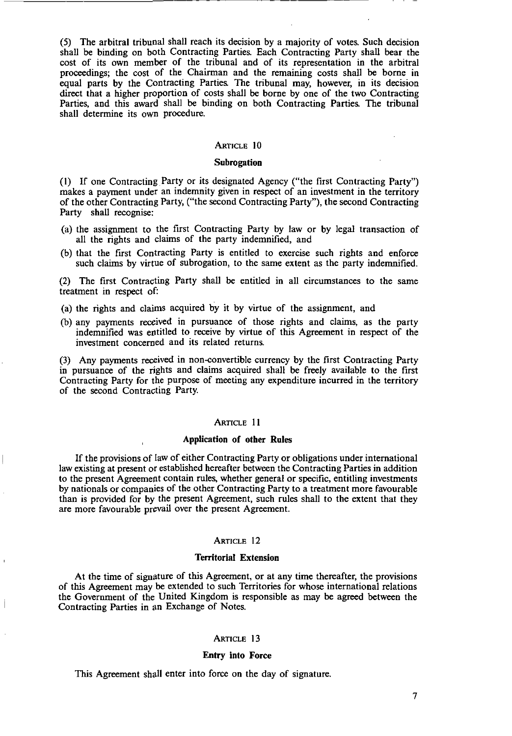(5) The arbitral tribunal shall reach its decision by a majority of votes. Such decision shall be binding on both Contracting Parties. Each Contracting Party shall bear the cost of its own member of the tribunal and of its representation in the arbitral proceedings; the cost of the Chairman and the remaining costs shall be borne in equal parts by the Contracting Parties. The tribunal may, however, in its decision direct that a higher proportion of costs shall be borne by one of the two Contracting Parties, and this award shall be binding on both Contracting Parties. The tribunal shall determine its own procedure.

# ARTICLE 10

#### Subrogation

(I) If one Contracting Party or its designated Agency ("the first Contracting Party") makes a payment under an indemnity given in respect of an investment in the territory of the other Contracting Party, ("the second Contracting Party"), the second Contracting Party shall recognise:

- (a) the assignment to the first Contracting Party by law or by legal transaction of all the rights and claims of the party indemnified, and
- (b) that the first Contracting Party is entitled to exercise such rights and enforce such claims by virtue of subrogation, to the same extent as the party indemnified.

(2) The first Contracting Party shall be entitled in all circumstances to the same treatment in respect of:

- (a) the rights and claims acquired by it by virtue of the assignment, and
- (b) any payments received in pursuance of those rights and claims, as the party indemnified was entitled to receive by virtue of this Agreement in respect of the investment concerned and its related returns.

(3) Any payments received in non-convertible currency by the first Contracting Party in pursuance of the rights and claims acquired shall be freely available to the first Contracting Party for the purpose of meeting any expenditure incurred in the territory of the second Contracting Party.

#### ARTICLE II

#### Application of other Rules

If the provisions of law of either Contracting Party or obligations under international law existing at present or established hereafter between the Contracting Parties in addition to the present Agreement contain rules, whether general or specific, entitling investments by nationals or companies of the other Contracting Party to a treatment more favourable than is provided for by the present Agreement, such rules shall to the extent that they are more favourable prevail over the present Agreement.

# ARTICLE 12

#### Territorial Extension

At the time of signature of this Agreement, or at any time thereafter, the provisions of this Agreement may be extended to such Territories for whose international relations the Government of the United Kingdom is responsible as may be agreed between the Contracting Parties in an Exchange of Notes.

# ARTICLE 13

## Entry into Force

This Agreement shall enter into force on the day of signature.